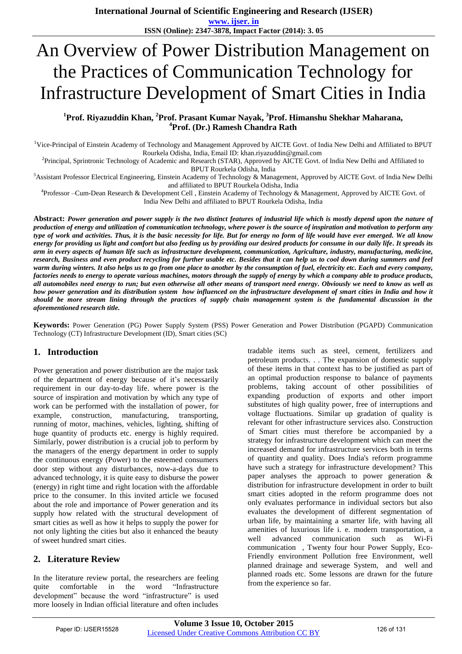**ISSN (Online): 2347-3878, Impact Factor (2014): 3. 05**

# An Overview of Power Distribution Management on the Practices of Communication Technology for Infrastructure Development of Smart Cities in India

**<sup>1</sup>Prof. Riyazuddin Khan, <sup>2</sup>Prof. Prasant Kumar Nayak, <sup>3</sup>Prof. Himanshu Shekhar Maharana, <sup>4</sup>Prof. (Dr.) Ramesh Chandra Rath**

<sup>1</sup>Vice-Principal of Einstein Academy of Technology and Management Approved by AICTE Govt. of India New Delhi and Affiliated to BPUT Rourkela Odisha, India, Email ID: [khan.riyazuddin@gmail.com](mailto:khan.riyazuddin@gmail.com) 

<sup>2</sup>Principal, Sprintronic Technology of Academic and Research (STAR), Approved by AICTE Govt. of India New Delhi and Affiliated to BPUT Rourkela Odisha, India

<sup>3</sup>Assistant Professor Electrical Engineering, Einstein Academy of Technology & Management, Approved by AICTE Govt. of India New Delhi and affiliated to BPUT Rourkela Odisha, India

4 Professor –Cum-Dean Research & Development Cell , Einstein Academy of Technology & Management, Approved by AICTE Govt. of India New Delhi and affiliated to BPUT Rourkela Odisha, India

**Abstract:** *Power generation and power supply is the two distinct features of industrial life which is mostly depend upon the nature of production of energy and utilization of communication technology, where power is the source of inspiration and motivation to perform any type of work and activities. Thus, it is the basic necessity for life. But for energy no form of life would have ever emerged. We all know energy for providing us light and comfort but also feeding us by providing our desired products for consume in our daily life. It spreads its arm in every aspects of human life such as infrastructure development, communication, Agriculture, industry, manufacturing, medicine, research, Business and even product recycling for further usable etc. Besides that it can help us to cool down during summers and feel warm during winters. It also helps us to go from one place to another by the consumption of fuel, electricity etc. Each and every company, factories needs to energy to operate various machines, motors through the supply of energy by which a company able to produce products, all automobiles need energy to run; but even otherwise all other means of transport need energy. Obviously we need to know as well as how power generation and its distribution system how influenced on the infrastructure development of smart cities in India and how it should be more stream lining through the practices of supply chain management system is the fundamental discussion in the aforementioned research title.* 

**Keywords:** Power Generation (PG) Power Supply System (PSS) Power Generation and Power Distribution (PGAPD) Communication Technology (CT) Infrastructure Development (ID), Smart cities (SC)

## **1. Introduction**

Power generation and power distribution are the major task of the department of energy because of it's necessarily requirement in our day-to-day life. where power is the source of inspiration and motivation by which any type of work can be performed with the installation of power, for example, construction, manufacturing, transporting, running of motor, machines, vehicles, lighting, shifting of huge quantity of products etc. energy is highly required. Similarly, power distribution is a crucial job to perform by the managers of the energy department in order to supply the continuous energy (Power) to the esteemed consumers door step without any disturbances, now-a-days due to advanced technology, it is quite easy to disburse the power (energy) in right time and right location with the affordable price to the consumer. In this invited article we focused about the role and importance of Power generation and its supply how related with the structural development of smart cities as well as how it helps to supply the power for not only lighting the cities but also it enhanced the beauty of sweet hundred smart cities.

# **2. Literature Review**

In the literature review portal, the researchers are feeling quite comfortable in the word "Infrastructure development" because the word "infrastructure" is used more loosely in Indian official literature and often includes tradable items such as steel, cement, fertilizers and petroleum products. . . The expansion of domestic supply of these items in that context has to be justified as part of an optimal production response to balance of payments problems, taking account of other possibilities of expanding production of exports and other import substitutes of high quality power, free of interruptions and voltage fluctuations. Similar up gradation of quality is relevant for other infrastructure services also. Construction of Smart cities must therefore be accompanied by a strategy for infrastructure development which can meet the increased demand for infrastructure services both in terms of quantity and quality. Does India's reform programme have such a strategy for infrastructure development? This paper analyses the approach to power generation & distribution for infrastructure development in order to built smart cities adopted in the reform programme does not only evaluates performance in individual sectors but also evaluates the development of different segmentation of urban life, by maintaining a smarter life, with having all amenities of luxurious life i. e. modern transportation, a well advanced communication such as Wi-Fi communication , Twenty four hour Power Supply, Eco-Friendly environment Pollution free Environment, well planned drainage and sewerage System, and well and planned roads etc. Some lessons are drawn for the future from the experience so far.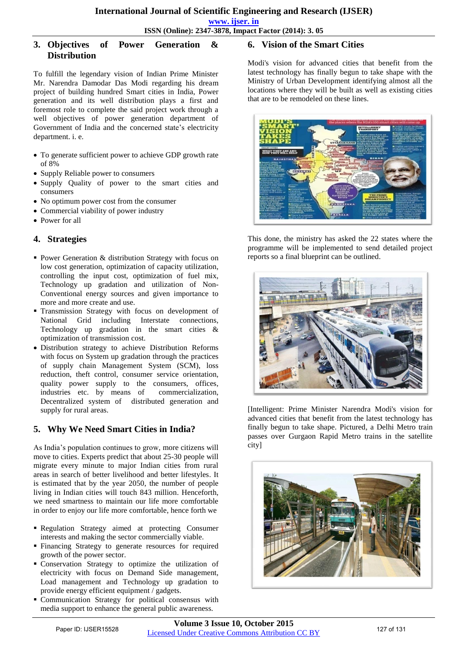**www. ijser. in**

**ISSN (Online): 2347-3878, Impact Factor (2014): 3. 05**

## **3. Objectives of Power Generation & Distribution**

To fulfill the legendary vision of Indian Prime Minister Mr. Narendra Damodar Das Modi regarding his dream project of building hundred Smart cities in India, Power generation and its well distribution plays a first and foremost role to complete the said project work through a well objectives of power generation department of Government of India and the concerned state's electricity department. i. e.

- To generate sufficient power to achieve GDP growth rate of 8%
- Supply Reliable power to consumers
- Supply Quality of power to the smart cities and consumers
- No optimum power cost from the consumer
- Commercial viability of power industry
- Power for all

## **4. Strategies**

- Power Generation & distribution Strategy with focus on low cost generation, optimization of capacity utilization, controlling the input cost, optimization of fuel mix, Technology up gradation and utilization of Non-Conventional energy sources and given importance to more and more create and use.
- Transmission Strategy with focus on development of National Grid including Interstate connections, Technology up gradation in the smart cities & optimization of transmission cost.
- Distribution strategy to achieve Distribution Reforms with focus on System up gradation through the practices of supply chain Management System (SCM), loss reduction, theft control, consumer service orientation, quality power supply to the consumers, offices, industries etc. by means of commercialization, Decentralized system of distributed generation and supply for rural areas.

# **5. Why We Need Smart Cities in India?**

As India's population continues to grow, more citizens will move to cities. Experts predict that about 25-30 people will migrate every minute to major Indian cities from rural areas in search of better livelihood and better lifestyles. It is estimated that by the year 2050, the number of people living in Indian cities will touch 843 million. Henceforth, we need smartness to maintain our life more comfortable in order to enjoy our life more comfortable, hence forth we

- Regulation Strategy aimed at protecting Consumer interests and making the sector commercially viable.
- Financing Strategy to generate resources for required growth of the power sector.
- Conservation Strategy to optimize the utilization of electricity with focus on Demand Side management, Load management and Technology up gradation to provide energy efficient equipment / gadgets.
- Communication Strategy for political consensus with media support to enhance the general public awareness.

## **6. Vision of the Smart Cities**

Modi's vision for advanced cities that benefit from the latest technology has finally begun to take shape with the Ministry of Urban Development identifying almost all the locations where they will be built as well as existing cities that are to be remodeled on these lines.



This done, the ministry has asked the 22 states where the programme will be implemented to send detailed project reports so a final blueprint can be outlined.



[Intelligent: Prime Minister Narendra Modi's vision for advanced cities that benefit from the latest technology has finally begun to take shape. Pictured, a Delhi Metro train passes over Gurgaon Rapid Metro trains in the satellite city]

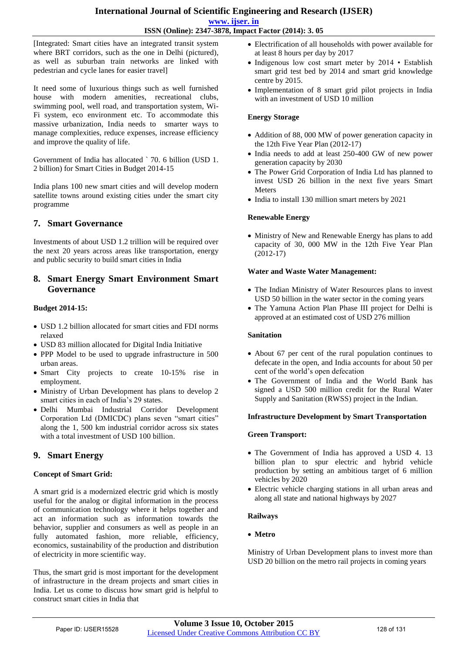# **International Journal of Scientific Engineering and Research (IJSER)**

## **www. ijser. in**

# **ISSN (Online): 2347-3878, Impact Factor (2014): 3. 05**

[Integrated: Smart cities have an integrated transit system where BRT corridors, such as the one in Delhi (pictured), as well as suburban train networks are linked with pedestrian and cycle lanes for easier travel]

It need some of luxurious things such as well furnished house with modern amenities, recreational clubs, swimming pool, well road, and transportation system, Wi-Fi system, eco environment etc. To accommodate this massive urbanization, India needs to smarter ways to manage complexities, reduce expenses, increase efficiency and improve the quality of life.

Government of India has allocated ` 70. 6 billion (USD 1. 2 billion) for Smart Cities in Budget 2014-15

India plans 100 new smart cities and will develop modern satellite towns around existing cities under the smart city programme

## **7. Smart Governance**

Investments of about USD 1.2 trillion will be required over the next 20 years across areas like transportation, energy and public security to build smart cities in India

## **8. Smart Energy Smart Environment Smart Governance**

## **Budget 2014-15:**

- USD 1.2 billion allocated for smart cities and FDI norms relaxed
- USD 83 million allocated for Digital India Initiative
- PPP Model to be used to upgrade infrastructure in 500 urban areas.
- Smart City projects to create 10-15% rise in employment.
- Ministry of Urban Development has plans to develop 2 smart cities in each of India's 29 states.
- Delhi Mumbai Industrial Corridor Development Corporation Ltd (DMICDC) plans seven "smart cities" along the 1, 500 km industrial corridor across six states with a total investment of USD 100 billion.

# **9. Smart Energy**

## **Concept of Smart Grid:**

A smart grid is a modernized electric grid which is mostly useful for the analog or digital information in the process of communication technology where it helps together and act an information such as information towards the behavior, supplier and consumers as well as people in an fully automated fashion, more reliable, efficiency, economics, sustainability of the production and distribution of electricity in more scientific way.

Thus, the smart grid is most important for the development of infrastructure in the dream projects and smart cities in India. Let us come to discuss how smart grid is helpful to construct smart cities in India that

- Electrification of all households with power available for at least 8 hours per day by 2017
- Indigenous low cost smart meter by 2014 Establish smart grid test bed by 2014 and smart grid knowledge centre by 2015.
- Implementation of 8 smart grid pilot projects in India with an investment of USD 10 million

## **Energy Storage**

- Addition of 88, 000 MW of power generation capacity in the 12th Five Year Plan (2012-17)
- India needs to add at least 250-400 GW of new power generation capacity by 2030
- The Power Grid Corporation of India Ltd has planned to invest USD 26 billion in the next five years Smart **Meters**
- India to install 130 million smart meters by 2021

## **Renewable Energy**

• Ministry of New and Renewable Energy has plans to add capacity of 30, 000 MW in the 12th Five Year Plan (2012-17)

### **Water and Waste Water Management:**

- The Indian Ministry of Water Resources plans to invest USD 50 billion in the water sector in the coming years
- The Yamuna Action Plan Phase III project for Delhi is approved at an estimated cost of USD 276 million

## **Sanitation**

- About 67 per cent of the rural population continues to defecate in the open, and India accounts for about 50 per cent of the world's open defecation
- The Government of India and the World Bank has signed a USD 500 million credit for the Rural Water Supply and Sanitation (RWSS) project in the Indian.

## **Infrastructure Development by Smart Transportation**

#### **Green Transport:**

- The Government of India has approved a USD 4. 13 billion plan to spur electric and hybrid vehicle production by setting an ambitious target of 6 million vehicles by 2020
- Electric vehicle charging stations in all urban areas and along all state and national highways by 2027

#### **Railways**

## **Metro**

Ministry of Urban Development plans to invest more than USD 20 billion on the metro rail projects in coming years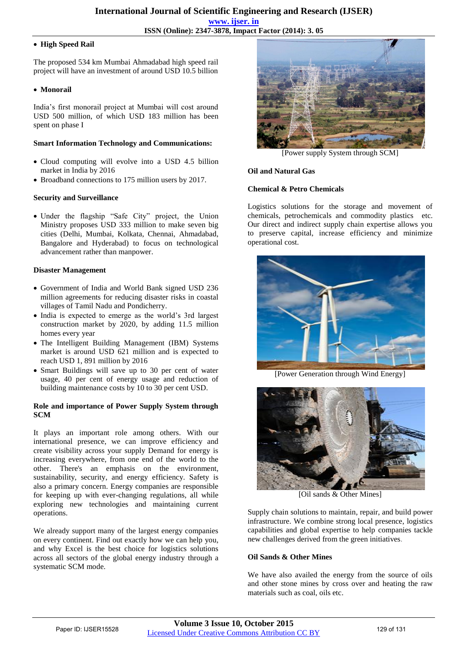**www. ijser. in**

**ISSN (Online): 2347-3878, Impact Factor (2014): 3. 05**

## **High Speed Rail**

The proposed 534 km Mumbai Ahmadabad high speed rail project will have an investment of around USD 10.5 billion

# **Monorail**

India's first monorail project at Mumbai will cost around USD 500 million, of which USD 183 million has been spent on phase I

## **Smart Information Technology and Communications:**

- Cloud computing will evolve into a USD 4.5 billion market in India by 2016
- Broadband connections to 175 million users by 2017.

# **Security and Surveillance**

 Under the flagship "Safe City" project, the Union Ministry proposes USD 333 million to make seven big cities (Delhi, Mumbai, Kolkata, Chennai, Ahmadabad, Bangalore and Hyderabad) to focus on technological advancement rather than manpower.

## **Disaster Management**

- Government of India and World Bank signed USD 236 million agreements for reducing disaster risks in coastal villages of Tamil Nadu and Pondicherry.
- India is expected to emerge as the world's 3rd largest construction market by 2020, by adding 11.5 million homes every year
- The Intelligent Building Management (IBM) Systems market is around USD 621 million and is expected to reach USD 1, 891 million by 2016
- Smart Buildings will save up to 30 per cent of water usage, 40 per cent of energy usage and reduction of building maintenance costs by 10 to 30 per cent USD.

## **Role and importance of Power Supply System through SCM**

It plays an important role among others. With our international presence, we can improve efficiency and create visibility across your supply Demand for energy is increasing everywhere, from one end of the world to the other. There's an emphasis on the environment, sustainability, security, and energy efficiency. Safety is also a primary concern. Energy companies are responsible for keeping up with ever-changing regulations, all while exploring new technologies and maintaining current operations.

We already support many of the largest energy companies on every continent. Find out exactly how we can help you, and why Excel is the best choice for logistics solutions across all sectors of the global energy industry through a systematic SCM mode.



[Power supply System through SCM]

## **Oil and Natural Gas**

## **Chemical & Petro Chemicals**

Logistics solutions for the storage and movement of chemicals, petrochemicals and commodity plastics etc. Our direct and indirect supply chain expertise allows you to preserve capital, increase efficiency and minimize operational cost.



[Power Generation through Wind Energy]



[Oil sands & Other Mines]

Supply chain solutions to maintain, repair, and build power infrastructure. We combine strong local presence, logistics capabilities and global expertise to help companies tackle new challenges derived from the green initiatives.

## **Oil Sands & Other Mines**

We have also availed the energy from the source of oils and other stone mines by cross over and heating the raw materials such as coal, oils etc.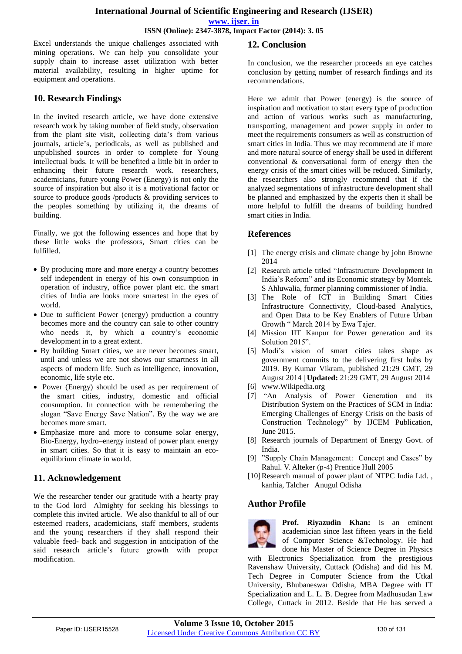**www. ijser. in**

**ISSN (Online): 2347-3878, Impact Factor (2014): 3. 05**

Excel understands the unique challenges associated with mining operations. We can help you consolidate your supply chain to increase asset utilization with better material availability, resulting in higher uptime for equipment and operations.

# **10. Research Findings**

In the invited research article, we have done extensive research work by taking number of field study, observation from the plant site visit, collecting data's from various journals, article's, periodicals, as well as published and unpublished sources in order to complete for Young intellectual buds. It will be benefited a little bit in order to enhancing their future research work. researchers, academicians, future young Power (Energy) is not only the source of inspiration but also it is a motivational factor or source to produce goods /products & providing services to the peoples something by utilizing it, the dreams of building.

Finally, we got the following essences and hope that by these little woks the professors, Smart cities can be fulfilled.

- By producing more and more energy a country becomes self independent in energy of his own consumption in operation of industry, office power plant etc. the smart cities of India are looks more smartest in the eyes of world.
- Due to sufficient Power (energy) production a country becomes more and the country can sale to other country who needs it, by which a country's economic development in to a great extent.
- By building Smart cities, we are never becomes smart, until and unless we are not shows our smartness in all aspects of modern life. Such as intelligence, innovation, economic, life style etc.
- Power (Energy) should be used as per requirement of the smart cities, industry, domestic and official consumption. In connection with be remembering the slogan "Save Energy Save Nation". By the way we are becomes more smart.
- Emphasize more and more to consume solar energy, Bio-Energy, hydro–energy instead of power plant energy in smart cities. So that it is easy to maintain an ecoequilibrium climate in world.

# **11. Acknowledgement**

We the researcher tender our gratitude with a hearty pray to the God lord Almighty for seeking his blessings to complete this invited article. We also thankful to all of our esteemed readers, academicians, staff members, students and the young researchers if they shall respond their valuable feed- back and suggestion in anticipation of the said research article's future growth with proper modification.

## **12. Conclusion**

In conclusion, we the researcher proceeds an eye catches conclusion by getting number of research findings and its recommendations.

Here we admit that Power (energy) is the source of inspiration and motivation to start every type of production and action of various works such as manufacturing, transporting, management and power supply in order to meet the requirements consumers as well as construction of smart cities in India. Thus we may recommend ate if more and more natural source of energy shall be used in different conventional & conversational form of energy then the energy crisis of the smart cities will be reduced. Similarly, the researchers also strongly recommend that if the analyzed segmentations of infrastructure development shall be planned and emphasized by the experts then it shall be more helpful to fulfill the dreams of building hundred smart cities in India.

## **References**

- [1] The energy crisis and climate change by john Browne 2014
- [2] Research article titled "Infrastructure Development in India's Reform" and its Economic strategy by Montek. S Ahluwalia, former planning commissioner of India.
- [3] The Role of ICT in Building Smart Cities Infrastructure Connectivity, Cloud-based Analytics, and Open Data to be Key Enablers of Future Urban Growth " March 2014 by Ewa Tajer.
- [4] Mission IIT Kanpur for Power generation and its Solution 2015".
- [5] Modi's vision of smart cities takes shape as government commits to the delivering first hubs by 2019. By Kumar Vikram, published 21:29 GMT, 29 August 2014 | **Updated:** 21:29 GMT, 29 August 2014
- [6] www.Wikipedia.org
- [7] "An Analysis of Power Generation and its Distribution System on the Practices of SCM in India: Emerging Challenges of Energy Crisis on the basis of Construction Technology" by IJCEM Publication, June 2015.
- [8] Research journals of Department of Energy Govt. of India.
- [9] "Supply Chain Management: Concept and Cases" by Rahul. V. Alteker (p-4) Prentice Hull 2005
- [10]Research manual of power plant of NTPC India Ltd., kanhia, Talcher Anugul Odisha

# **Author Profile**



**Prof. Riyazudin Khan:** is an eminent academician since last fifteen years in the field of Computer Science &Technology. He had done his Master of Science Degree in Physics

with Electronics Specialization from the prestigious Ravenshaw University, Cuttack (Odisha) and did his M. Tech Degree in Computer Science from the Utkal University, Bhubaneswar Odisha, MBA Degree with IT Specialization and L. L. B. Degree from Madhusudan Law College, Cuttack in 2012. Beside that He has served a